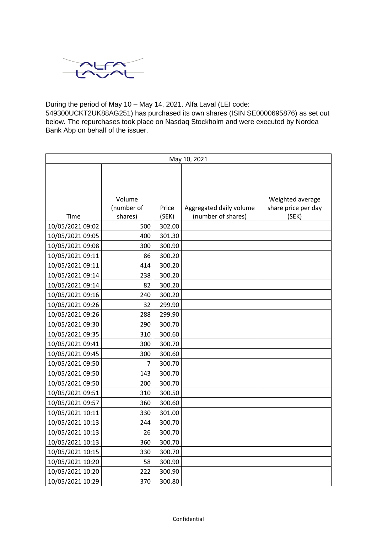

During the period of May 10 – May 14, 2021. Alfa Laval (LEI code:

549300UCKT2UK88AG251) has purchased its own shares (ISIN SE0000695876) as set out below. The repurchases took place on Nasdaq Stockholm and were executed by Nordea Bank Abp on behalf of the issuer.

| May 10, 2021     |            |        |                         |                     |  |
|------------------|------------|--------|-------------------------|---------------------|--|
|                  |            |        |                         |                     |  |
|                  |            |        |                         |                     |  |
|                  |            |        |                         |                     |  |
|                  | Volume     |        |                         | Weighted average    |  |
|                  | (number of | Price  | Aggregated daily volume | share price per day |  |
| Time             | shares)    | (SEK)  | (number of shares)      | (SEK)               |  |
| 10/05/2021 09:02 | 500        | 302.00 |                         |                     |  |
| 10/05/2021 09:05 | 400        | 301.30 |                         |                     |  |
| 10/05/2021 09:08 | 300        | 300.90 |                         |                     |  |
| 10/05/2021 09:11 | 86         | 300.20 |                         |                     |  |
| 10/05/2021 09:11 | 414        | 300.20 |                         |                     |  |
| 10/05/2021 09:14 | 238        | 300.20 |                         |                     |  |
| 10/05/2021 09:14 | 82         | 300.20 |                         |                     |  |
| 10/05/2021 09:16 | 240        | 300.20 |                         |                     |  |
| 10/05/2021 09:26 | 32         | 299.90 |                         |                     |  |
| 10/05/2021 09:26 | 288        | 299.90 |                         |                     |  |
| 10/05/2021 09:30 | 290        | 300.70 |                         |                     |  |
| 10/05/2021 09:35 | 310        | 300.60 |                         |                     |  |
| 10/05/2021 09:41 | 300        | 300.70 |                         |                     |  |
| 10/05/2021 09:45 | 300        | 300.60 |                         |                     |  |
| 10/05/2021 09:50 | 7          | 300.70 |                         |                     |  |
| 10/05/2021 09:50 | 143        | 300.70 |                         |                     |  |
| 10/05/2021 09:50 | 200        | 300.70 |                         |                     |  |
| 10/05/2021 09:51 | 310        | 300.50 |                         |                     |  |
| 10/05/2021 09:57 | 360        | 300.60 |                         |                     |  |
| 10/05/2021 10:11 | 330        | 301.00 |                         |                     |  |
| 10/05/2021 10:13 | 244        | 300.70 |                         |                     |  |
| 10/05/2021 10:13 | 26         | 300.70 |                         |                     |  |
| 10/05/2021 10:13 | 360        | 300.70 |                         |                     |  |
| 10/05/2021 10:15 | 330        | 300.70 |                         |                     |  |
| 10/05/2021 10:20 | 58         | 300.90 |                         |                     |  |
| 10/05/2021 10:20 | 222        | 300.90 |                         |                     |  |
| 10/05/2021 10:29 | 370        | 300.80 |                         |                     |  |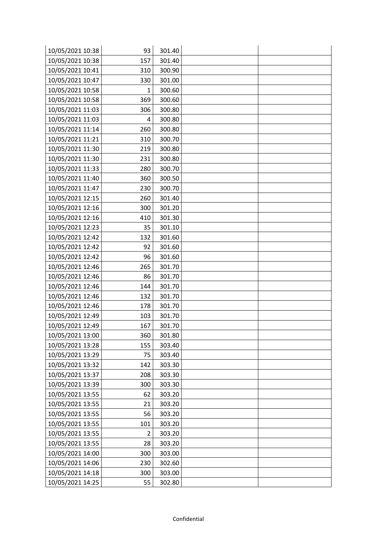| 10/05/2021 10:38 | 93           | 301.40 |  |
|------------------|--------------|--------|--|
| 10/05/2021 10:38 | 157          | 301.40 |  |
| 10/05/2021 10:41 | 310          | 300.90 |  |
| 10/05/2021 10:47 | 330          | 301.00 |  |
| 10/05/2021 10:58 | $\mathbf{1}$ | 300.60 |  |
| 10/05/2021 10:58 | 369          | 300.60 |  |
| 10/05/2021 11:03 | 306          | 300.80 |  |
| 10/05/2021 11:03 | 4            | 300.80 |  |
| 10/05/2021 11:14 | 260          | 300.80 |  |
| 10/05/2021 11:21 | 310          | 300.70 |  |
| 10/05/2021 11:30 | 219          | 300.80 |  |
| 10/05/2021 11:30 | 231          | 300.80 |  |
| 10/05/2021 11:33 | 280          | 300.70 |  |
| 10/05/2021 11:40 | 360          | 300.50 |  |
| 10/05/2021 11:47 | 230          | 300.70 |  |
| 10/05/2021 12:15 | 260          | 301.40 |  |
| 10/05/2021 12:16 | 300          | 301.20 |  |
| 10/05/2021 12:16 | 410          | 301.30 |  |
| 10/05/2021 12:23 | 35           | 301.10 |  |
| 10/05/2021 12:42 | 132          | 301.60 |  |
| 10/05/2021 12:42 | 92           | 301.60 |  |
| 10/05/2021 12:42 | 96           | 301.60 |  |
| 10/05/2021 12:46 | 265          | 301.70 |  |
| 10/05/2021 12:46 | 86           | 301.70 |  |
| 10/05/2021 12:46 | 144          | 301.70 |  |
| 10/05/2021 12:46 | 132          | 301.70 |  |
| 10/05/2021 12:46 | 178          | 301.70 |  |
| 10/05/2021 12:49 | 103          | 301.70 |  |
| 10/05/2021 12:49 | 167          | 301.70 |  |
| 10/05/2021 13:00 | 360          | 301.80 |  |
| 10/05/2021 13:28 | 155          | 303.40 |  |
| 10/05/2021 13:29 | 75           | 303.40 |  |
| 10/05/2021 13:32 | 142          | 303.30 |  |
| 10/05/2021 13:37 | 208          | 303.30 |  |
| 10/05/2021 13:39 | 300          | 303.30 |  |
| 10/05/2021 13:55 | 62           | 303.20 |  |
| 10/05/2021 13:55 | 21           | 303.20 |  |
| 10/05/2021 13:55 | 56           | 303.20 |  |
| 10/05/2021 13:55 | 101          | 303.20 |  |
| 10/05/2021 13:55 | 2            | 303.20 |  |
| 10/05/2021 13:55 | 28           | 303.20 |  |
| 10/05/2021 14:00 | 300          | 303.00 |  |
| 10/05/2021 14:06 | 230          | 302.60 |  |
| 10/05/2021 14:18 | 300          | 303.00 |  |
| 10/05/2021 14:25 | 55           | 302.80 |  |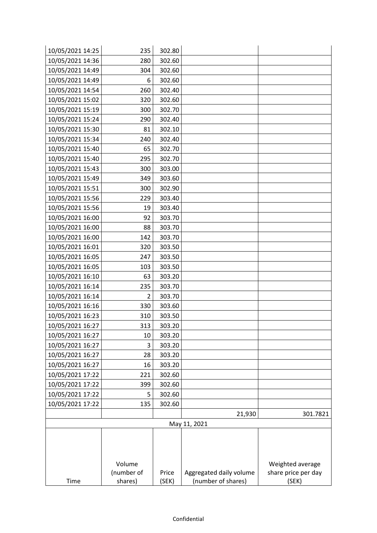| 10/05/2021 14:25 | 235                  | 302.80         |                                               |                              |
|------------------|----------------------|----------------|-----------------------------------------------|------------------------------|
| 10/05/2021 14:36 | 280                  | 302.60         |                                               |                              |
| 10/05/2021 14:49 | 304                  | 302.60         |                                               |                              |
| 10/05/2021 14:49 | 6                    | 302.60         |                                               |                              |
| 10/05/2021 14:54 | 260                  | 302.40         |                                               |                              |
| 10/05/2021 15:02 | 320                  | 302.60         |                                               |                              |
| 10/05/2021 15:19 | 300                  | 302.70         |                                               |                              |
| 10/05/2021 15:24 | 290                  | 302.40         |                                               |                              |
| 10/05/2021 15:30 | 81                   | 302.10         |                                               |                              |
| 10/05/2021 15:34 | 240                  | 302.40         |                                               |                              |
| 10/05/2021 15:40 | 65                   | 302.70         |                                               |                              |
| 10/05/2021 15:40 | 295                  | 302.70         |                                               |                              |
| 10/05/2021 15:43 | 300                  | 303.00         |                                               |                              |
| 10/05/2021 15:49 | 349                  | 303.60         |                                               |                              |
| 10/05/2021 15:51 | 300                  | 302.90         |                                               |                              |
| 10/05/2021 15:56 | 229                  | 303.40         |                                               |                              |
| 10/05/2021 15:56 | 19                   | 303.40         |                                               |                              |
| 10/05/2021 16:00 | 92                   | 303.70         |                                               |                              |
| 10/05/2021 16:00 | 88                   | 303.70         |                                               |                              |
| 10/05/2021 16:00 | 142                  | 303.70         |                                               |                              |
| 10/05/2021 16:01 | 320                  | 303.50         |                                               |                              |
| 10/05/2021 16:05 | 247                  | 303.50         |                                               |                              |
| 10/05/2021 16:05 | 103                  | 303.50         |                                               |                              |
| 10/05/2021 16:10 | 63                   | 303.20         |                                               |                              |
| 10/05/2021 16:14 | 235                  | 303.70         |                                               |                              |
| 10/05/2021 16:14 | 2                    | 303.70         |                                               |                              |
| 10/05/2021 16:16 | 330                  | 303.60         |                                               |                              |
| 10/05/2021 16:23 | 310                  | 303.50         |                                               |                              |
| 10/05/2021 16:27 | 313                  | 303.20         |                                               |                              |
| 10/05/2021 16:27 | 10                   | 303.20         |                                               |                              |
| 10/05/2021 16:27 | 3                    | 303.20         |                                               |                              |
| 10/05/2021 16:27 | 28                   | 303.20         |                                               |                              |
| 10/05/2021 16:27 | 16                   | 303.20         |                                               |                              |
| 10/05/2021 17:22 | 221                  | 302.60         |                                               |                              |
| 10/05/2021 17:22 | 399                  | 302.60         |                                               |                              |
| 10/05/2021 17:22 | 5                    | 302.60         |                                               |                              |
| 10/05/2021 17:22 | 135                  | 302.60         |                                               |                              |
|                  |                      |                | 21,930                                        | 301.7821                     |
|                  |                      |                | May 11, 2021                                  |                              |
|                  |                      |                |                                               |                              |
|                  |                      |                |                                               |                              |
|                  |                      |                |                                               |                              |
|                  | Volume<br>(number of |                |                                               | Weighted average             |
| Time             | shares)              | Price<br>(SEK) | Aggregated daily volume<br>(number of shares) | share price per day<br>(SEK) |
|                  |                      |                |                                               |                              |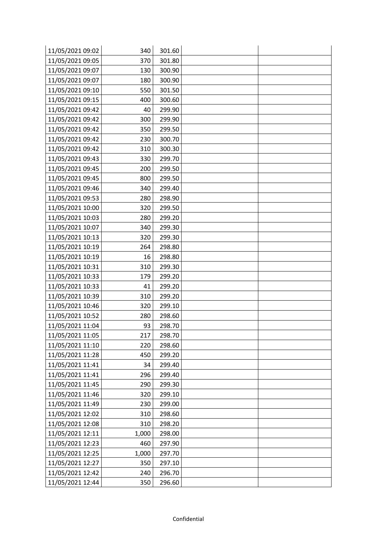| 11/05/2021 09:02 | 340   | 301.60 |  |
|------------------|-------|--------|--|
| 11/05/2021 09:05 | 370   | 301.80 |  |
| 11/05/2021 09:07 | 130   | 300.90 |  |
| 11/05/2021 09:07 | 180   | 300.90 |  |
| 11/05/2021 09:10 | 550   | 301.50 |  |
| 11/05/2021 09:15 | 400   | 300.60 |  |
| 11/05/2021 09:42 | 40    | 299.90 |  |
| 11/05/2021 09:42 | 300   | 299.90 |  |
| 11/05/2021 09:42 | 350   | 299.50 |  |
| 11/05/2021 09:42 | 230   | 300.70 |  |
| 11/05/2021 09:42 | 310   | 300.30 |  |
| 11/05/2021 09:43 | 330   | 299.70 |  |
| 11/05/2021 09:45 | 200   | 299.50 |  |
| 11/05/2021 09:45 | 800   | 299.50 |  |
| 11/05/2021 09:46 | 340   | 299.40 |  |
| 11/05/2021 09:53 | 280   | 298.90 |  |
| 11/05/2021 10:00 | 320   | 299.50 |  |
| 11/05/2021 10:03 | 280   | 299.20 |  |
| 11/05/2021 10:07 | 340   | 299.30 |  |
| 11/05/2021 10:13 | 320   | 299.30 |  |
| 11/05/2021 10:19 | 264   | 298.80 |  |
| 11/05/2021 10:19 | 16    | 298.80 |  |
| 11/05/2021 10:31 | 310   | 299.30 |  |
| 11/05/2021 10:33 | 179   | 299.20 |  |
| 11/05/2021 10:33 | 41    | 299.20 |  |
| 11/05/2021 10:39 | 310   | 299.20 |  |
| 11/05/2021 10:46 | 320   | 299.10 |  |
| 11/05/2021 10:52 | 280   | 298.60 |  |
| 11/05/2021 11:04 | 93    | 298.70 |  |
| 11/05/2021 11:05 | 217   | 298.70 |  |
| 11/05/2021 11:10 | 220   | 298.60 |  |
| 11/05/2021 11:28 | 450   | 299.20 |  |
| 11/05/2021 11:41 | 34    | 299.40 |  |
| 11/05/2021 11:41 | 296   | 299.40 |  |
| 11/05/2021 11:45 | 290   | 299.30 |  |
| 11/05/2021 11:46 | 320   | 299.10 |  |
| 11/05/2021 11:49 | 230   | 299.00 |  |
| 11/05/2021 12:02 | 310   | 298.60 |  |
| 11/05/2021 12:08 | 310   | 298.20 |  |
| 11/05/2021 12:11 | 1,000 | 298.00 |  |
| 11/05/2021 12:23 | 460   | 297.90 |  |
| 11/05/2021 12:25 | 1,000 | 297.70 |  |
| 11/05/2021 12:27 | 350   | 297.10 |  |
| 11/05/2021 12:42 | 240   | 296.70 |  |
| 11/05/2021 12:44 | 350   | 296.60 |  |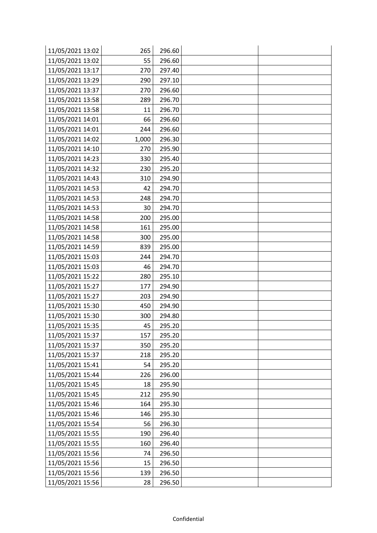| 11/05/2021 13:02 | 265   | 296.60 |  |
|------------------|-------|--------|--|
| 11/05/2021 13:02 | 55    | 296.60 |  |
| 11/05/2021 13:17 | 270   | 297.40 |  |
| 11/05/2021 13:29 | 290   | 297.10 |  |
| 11/05/2021 13:37 | 270   | 296.60 |  |
| 11/05/2021 13:58 | 289   | 296.70 |  |
| 11/05/2021 13:58 | 11    | 296.70 |  |
| 11/05/2021 14:01 | 66    | 296.60 |  |
| 11/05/2021 14:01 | 244   | 296.60 |  |
| 11/05/2021 14:02 | 1,000 | 296.30 |  |
| 11/05/2021 14:10 | 270   | 295.90 |  |
| 11/05/2021 14:23 | 330   | 295.40 |  |
| 11/05/2021 14:32 | 230   | 295.20 |  |
| 11/05/2021 14:43 | 310   | 294.90 |  |
| 11/05/2021 14:53 | 42    | 294.70 |  |
| 11/05/2021 14:53 | 248   | 294.70 |  |
| 11/05/2021 14:53 | 30    | 294.70 |  |
| 11/05/2021 14:58 | 200   | 295.00 |  |
| 11/05/2021 14:58 | 161   | 295.00 |  |
| 11/05/2021 14:58 | 300   | 295.00 |  |
| 11/05/2021 14:59 | 839   | 295.00 |  |
| 11/05/2021 15:03 | 244   | 294.70 |  |
| 11/05/2021 15:03 | 46    | 294.70 |  |
| 11/05/2021 15:22 | 280   | 295.10 |  |
| 11/05/2021 15:27 | 177   | 294.90 |  |
| 11/05/2021 15:27 | 203   | 294.90 |  |
| 11/05/2021 15:30 | 450   | 294.90 |  |
| 11/05/2021 15:30 | 300   | 294.80 |  |
| 11/05/2021 15:35 | 45    | 295.20 |  |
| 11/05/2021 15:37 | 157   | 295.20 |  |
| 11/05/2021 15:37 | 350   | 295.20 |  |
| 11/05/2021 15:37 | 218   | 295.20 |  |
| 11/05/2021 15:41 | 54    | 295.20 |  |
| 11/05/2021 15:44 | 226   | 296.00 |  |
| 11/05/2021 15:45 | 18    | 295.90 |  |
| 11/05/2021 15:45 | 212   | 295.90 |  |
| 11/05/2021 15:46 | 164   | 295.30 |  |
| 11/05/2021 15:46 | 146   | 295.30 |  |
| 11/05/2021 15:54 | 56    | 296.30 |  |
| 11/05/2021 15:55 | 190   | 296.40 |  |
| 11/05/2021 15:55 | 160   | 296.40 |  |
| 11/05/2021 15:56 | 74    | 296.50 |  |
| 11/05/2021 15:56 | 15    | 296.50 |  |
| 11/05/2021 15:56 | 139   | 296.50 |  |
| 11/05/2021 15:56 | 28    | 296.50 |  |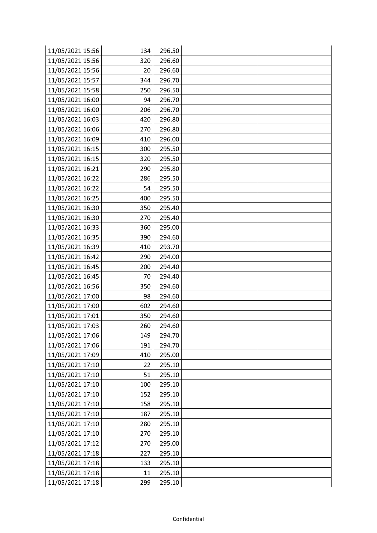| 11/05/2021 15:56 | 134 | 296.50 |  |
|------------------|-----|--------|--|
| 11/05/2021 15:56 | 320 | 296.60 |  |
| 11/05/2021 15:56 | 20  | 296.60 |  |
| 11/05/2021 15:57 | 344 | 296.70 |  |
| 11/05/2021 15:58 | 250 | 296.50 |  |
| 11/05/2021 16:00 | 94  | 296.70 |  |
| 11/05/2021 16:00 | 206 | 296.70 |  |
| 11/05/2021 16:03 | 420 | 296.80 |  |
| 11/05/2021 16:06 | 270 | 296.80 |  |
| 11/05/2021 16:09 | 410 | 296.00 |  |
| 11/05/2021 16:15 | 300 | 295.50 |  |
| 11/05/2021 16:15 | 320 | 295.50 |  |
| 11/05/2021 16:21 | 290 | 295.80 |  |
| 11/05/2021 16:22 | 286 | 295.50 |  |
| 11/05/2021 16:22 | 54  | 295.50 |  |
| 11/05/2021 16:25 | 400 | 295.50 |  |
| 11/05/2021 16:30 | 350 | 295.40 |  |
| 11/05/2021 16:30 | 270 | 295.40 |  |
| 11/05/2021 16:33 | 360 | 295.00 |  |
| 11/05/2021 16:35 | 390 | 294.60 |  |
| 11/05/2021 16:39 | 410 | 293.70 |  |
| 11/05/2021 16:42 | 290 | 294.00 |  |
| 11/05/2021 16:45 | 200 | 294.40 |  |
| 11/05/2021 16:45 | 70  | 294.40 |  |
| 11/05/2021 16:56 | 350 | 294.60 |  |
| 11/05/2021 17:00 | 98  | 294.60 |  |
| 11/05/2021 17:00 | 602 | 294.60 |  |
| 11/05/2021 17:01 | 350 | 294.60 |  |
| 11/05/2021 17:03 | 260 | 294.60 |  |
| 11/05/2021 17:06 | 149 | 294.70 |  |
| 11/05/2021 17:06 | 191 | 294.70 |  |
| 11/05/2021 17:09 | 410 | 295.00 |  |
| 11/05/2021 17:10 | 22  | 295.10 |  |
| 11/05/2021 17:10 | 51  | 295.10 |  |
| 11/05/2021 17:10 | 100 | 295.10 |  |
| 11/05/2021 17:10 | 152 | 295.10 |  |
| 11/05/2021 17:10 | 158 | 295.10 |  |
| 11/05/2021 17:10 | 187 | 295.10 |  |
| 11/05/2021 17:10 | 280 | 295.10 |  |
| 11/05/2021 17:10 | 270 | 295.10 |  |
| 11/05/2021 17:12 | 270 | 295.00 |  |
| 11/05/2021 17:18 | 227 | 295.10 |  |
| 11/05/2021 17:18 | 133 | 295.10 |  |
| 11/05/2021 17:18 | 11  | 295.10 |  |
| 11/05/2021 17:18 | 299 | 295.10 |  |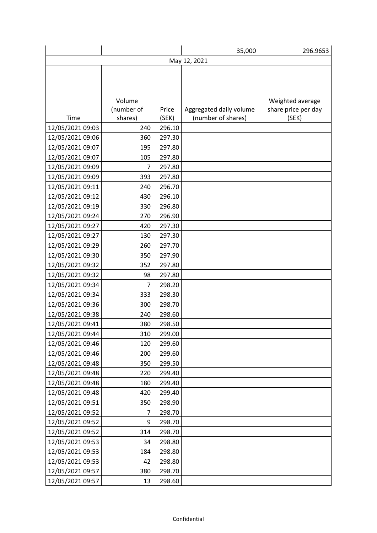|                  |                |        | 35,000                  | 296.9653            |  |  |
|------------------|----------------|--------|-------------------------|---------------------|--|--|
|                  | May 12, 2021   |        |                         |                     |  |  |
|                  |                |        |                         |                     |  |  |
|                  |                |        |                         |                     |  |  |
|                  |                |        |                         |                     |  |  |
|                  | Volume         |        |                         | Weighted average    |  |  |
|                  | (number of     | Price  | Aggregated daily volume | share price per day |  |  |
| Time             | shares)        | (SEK)  | (number of shares)      | (SEK)               |  |  |
| 12/05/2021 09:03 | 240            | 296.10 |                         |                     |  |  |
| 12/05/2021 09:06 | 360            | 297.30 |                         |                     |  |  |
| 12/05/2021 09:07 | 195            | 297.80 |                         |                     |  |  |
| 12/05/2021 09:07 | 105            | 297.80 |                         |                     |  |  |
| 12/05/2021 09:09 | $\overline{7}$ | 297.80 |                         |                     |  |  |
| 12/05/2021 09:09 | 393            | 297.80 |                         |                     |  |  |
| 12/05/2021 09:11 | 240            | 296.70 |                         |                     |  |  |
| 12/05/2021 09:12 | 430            | 296.10 |                         |                     |  |  |
| 12/05/2021 09:19 | 330            | 296.80 |                         |                     |  |  |
| 12/05/2021 09:24 | 270            | 296.90 |                         |                     |  |  |
| 12/05/2021 09:27 | 420            | 297.30 |                         |                     |  |  |
| 12/05/2021 09:27 | 130            | 297.30 |                         |                     |  |  |
| 12/05/2021 09:29 | 260            | 297.70 |                         |                     |  |  |
| 12/05/2021 09:30 | 350            | 297.90 |                         |                     |  |  |
| 12/05/2021 09:32 | 352            | 297.80 |                         |                     |  |  |
| 12/05/2021 09:32 | 98             | 297.80 |                         |                     |  |  |
| 12/05/2021 09:34 | 7              | 298.20 |                         |                     |  |  |
| 12/05/2021 09:34 | 333            | 298.30 |                         |                     |  |  |
| 12/05/2021 09:36 | 300            | 298.70 |                         |                     |  |  |
| 12/05/2021 09:38 | 240            | 298.60 |                         |                     |  |  |
| 12/05/2021 09:41 | 380            | 298.50 |                         |                     |  |  |
| 12/05/2021 09:44 | 310            | 299.00 |                         |                     |  |  |
| 12/05/2021 09:46 | 120            | 299.60 |                         |                     |  |  |
| 12/05/2021 09:46 | 200            | 299.60 |                         |                     |  |  |
| 12/05/2021 09:48 | 350            | 299.50 |                         |                     |  |  |
| 12/05/2021 09:48 | 220            | 299.40 |                         |                     |  |  |
| 12/05/2021 09:48 | 180            | 299.40 |                         |                     |  |  |
| 12/05/2021 09:48 | 420            | 299.40 |                         |                     |  |  |
| 12/05/2021 09:51 | 350            | 298.90 |                         |                     |  |  |
| 12/05/2021 09:52 | 7              | 298.70 |                         |                     |  |  |
| 12/05/2021 09:52 | 9              | 298.70 |                         |                     |  |  |
| 12/05/2021 09:52 | 314            | 298.70 |                         |                     |  |  |
| 12/05/2021 09:53 | 34             | 298.80 |                         |                     |  |  |
| 12/05/2021 09:53 | 184            | 298.80 |                         |                     |  |  |
| 12/05/2021 09:53 | 42             | 298.80 |                         |                     |  |  |
| 12/05/2021 09:57 | 380            | 298.70 |                         |                     |  |  |
| 12/05/2021 09:57 | 13             | 298.60 |                         |                     |  |  |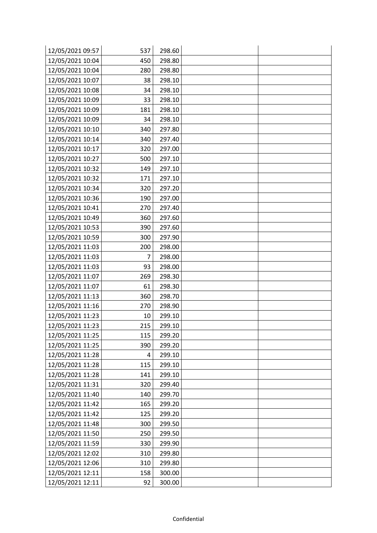| 12/05/2021 09:57 | 537            | 298.60 |  |
|------------------|----------------|--------|--|
| 12/05/2021 10:04 | 450            | 298.80 |  |
| 12/05/2021 10:04 | 280            | 298.80 |  |
| 12/05/2021 10:07 | 38             | 298.10 |  |
| 12/05/2021 10:08 | 34             | 298.10 |  |
| 12/05/2021 10:09 | 33             | 298.10 |  |
| 12/05/2021 10:09 | 181            | 298.10 |  |
| 12/05/2021 10:09 | 34             | 298.10 |  |
| 12/05/2021 10:10 | 340            | 297.80 |  |
| 12/05/2021 10:14 | 340            | 297.40 |  |
| 12/05/2021 10:17 | 320            | 297.00 |  |
| 12/05/2021 10:27 | 500            | 297.10 |  |
| 12/05/2021 10:32 | 149            | 297.10 |  |
| 12/05/2021 10:32 | 171            | 297.10 |  |
| 12/05/2021 10:34 | 320            | 297.20 |  |
| 12/05/2021 10:36 | 190            | 297.00 |  |
| 12/05/2021 10:41 | 270            | 297.40 |  |
| 12/05/2021 10:49 | 360            | 297.60 |  |
| 12/05/2021 10:53 | 390            | 297.60 |  |
| 12/05/2021 10:59 | 300            | 297.90 |  |
| 12/05/2021 11:03 | 200            | 298.00 |  |
| 12/05/2021 11:03 | $\overline{7}$ | 298.00 |  |
| 12/05/2021 11:03 | 93             | 298.00 |  |
| 12/05/2021 11:07 | 269            | 298.30 |  |
| 12/05/2021 11:07 | 61             | 298.30 |  |
| 12/05/2021 11:13 | 360            | 298.70 |  |
| 12/05/2021 11:16 | 270            | 298.90 |  |
| 12/05/2021 11:23 | 10             | 299.10 |  |
| 12/05/2021 11:23 | 215            | 299.10 |  |
| 12/05/2021 11:25 | 115            | 299.20 |  |
| 12/05/2021 11:25 | 390            | 299.20 |  |
| 12/05/2021 11:28 | 4              | 299.10 |  |
| 12/05/2021 11:28 | 115            | 299.10 |  |
| 12/05/2021 11:28 | 141            | 299.10 |  |
| 12/05/2021 11:31 | 320            | 299.40 |  |
| 12/05/2021 11:40 | 140            | 299.70 |  |
| 12/05/2021 11:42 | 165            | 299.20 |  |
| 12/05/2021 11:42 | 125            | 299.20 |  |
| 12/05/2021 11:48 | 300            | 299.50 |  |
| 12/05/2021 11:50 | 250            | 299.50 |  |
| 12/05/2021 11:59 | 330            | 299.90 |  |
| 12/05/2021 12:02 | 310            | 299.80 |  |
| 12/05/2021 12:06 | 310            | 299.80 |  |
| 12/05/2021 12:11 | 158            | 300.00 |  |
| 12/05/2021 12:11 | 92             | 300.00 |  |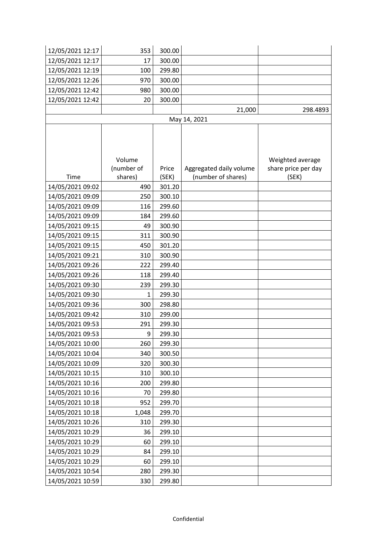| 12/05/2021 12:17 | 353        | 300.00 |                         |                     |
|------------------|------------|--------|-------------------------|---------------------|
| 12/05/2021 12:17 | 17         | 300.00 |                         |                     |
| 12/05/2021 12:19 | 100        | 299.80 |                         |                     |
| 12/05/2021 12:26 | 970        | 300.00 |                         |                     |
| 12/05/2021 12:42 | 980        | 300.00 |                         |                     |
| 12/05/2021 12:42 | 20         | 300.00 |                         |                     |
|                  |            |        | 21,000                  | 298.4893            |
|                  |            |        | May 14, 2021            |                     |
|                  |            |        |                         |                     |
|                  |            |        |                         |                     |
|                  |            |        |                         |                     |
|                  | Volume     |        |                         | Weighted average    |
|                  | (number of | Price  | Aggregated daily volume | share price per day |
| Time             | shares)    | (SEK)  | (number of shares)      | (SEK)               |
| 14/05/2021 09:02 | 490        | 301.20 |                         |                     |
| 14/05/2021 09:09 | 250        | 300.10 |                         |                     |
| 14/05/2021 09:09 | 116        | 299.60 |                         |                     |
| 14/05/2021 09:09 | 184        | 299.60 |                         |                     |
| 14/05/2021 09:15 | 49         | 300.90 |                         |                     |
| 14/05/2021 09:15 | 311        | 300.90 |                         |                     |
| 14/05/2021 09:15 | 450        | 301.20 |                         |                     |
| 14/05/2021 09:21 | 310        | 300.90 |                         |                     |
| 14/05/2021 09:26 | 222        | 299.40 |                         |                     |
| 14/05/2021 09:26 | 118        | 299.40 |                         |                     |
| 14/05/2021 09:30 | 239        | 299.30 |                         |                     |
| 14/05/2021 09:30 | 1          | 299.30 |                         |                     |
| 14/05/2021 09:36 | 300        | 298.80 |                         |                     |
| 14/05/2021 09:42 | 310        | 299.00 |                         |                     |
| 14/05/2021 09:53 | 291        | 299.30 |                         |                     |
| 14/05/2021 09:53 | 9          | 299.30 |                         |                     |
| 14/05/2021 10:00 | 260        | 299.30 |                         |                     |
| 14/05/2021 10:04 | 340        | 300.50 |                         |                     |
| 14/05/2021 10:09 | 320        | 300.30 |                         |                     |
| 14/05/2021 10:15 | 310        | 300.10 |                         |                     |
| 14/05/2021 10:16 | 200        | 299.80 |                         |                     |
| 14/05/2021 10:16 | 70         | 299.80 |                         |                     |
| 14/05/2021 10:18 | 952        | 299.70 |                         |                     |
| 14/05/2021 10:18 | 1,048      | 299.70 |                         |                     |
| 14/05/2021 10:26 | 310        | 299.30 |                         |                     |
| 14/05/2021 10:29 | 36         | 299.10 |                         |                     |
| 14/05/2021 10:29 | 60         | 299.10 |                         |                     |
| 14/05/2021 10:29 | 84         | 299.10 |                         |                     |
| 14/05/2021 10:29 | 60         | 299.10 |                         |                     |
| 14/05/2021 10:54 | 280        | 299.30 |                         |                     |
| 14/05/2021 10:59 | 330        | 299.80 |                         |                     |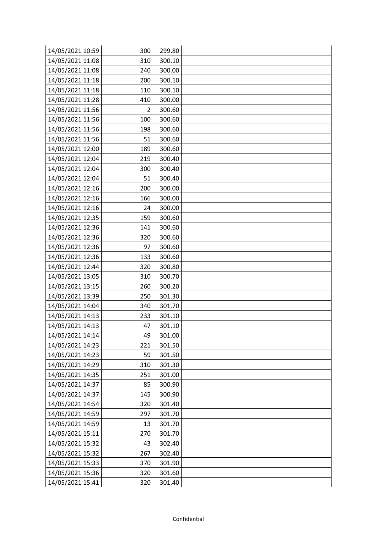| 14/05/2021 10:59 | 300 | 299.80 |  |
|------------------|-----|--------|--|
| 14/05/2021 11:08 | 310 | 300.10 |  |
| 14/05/2021 11:08 | 240 | 300.00 |  |
| 14/05/2021 11:18 | 200 | 300.10 |  |
| 14/05/2021 11:18 | 110 | 300.10 |  |
| 14/05/2021 11:28 | 410 | 300.00 |  |
| 14/05/2021 11:56 | 2   | 300.60 |  |
| 14/05/2021 11:56 | 100 | 300.60 |  |
| 14/05/2021 11:56 | 198 | 300.60 |  |
| 14/05/2021 11:56 | 51  | 300.60 |  |
| 14/05/2021 12:00 | 189 | 300.60 |  |
| 14/05/2021 12:04 | 219 | 300.40 |  |
| 14/05/2021 12:04 | 300 | 300.40 |  |
| 14/05/2021 12:04 | 51  | 300.40 |  |
| 14/05/2021 12:16 | 200 | 300.00 |  |
| 14/05/2021 12:16 | 166 | 300.00 |  |
| 14/05/2021 12:16 | 24  | 300.00 |  |
| 14/05/2021 12:35 | 159 | 300.60 |  |
| 14/05/2021 12:36 | 141 | 300.60 |  |
| 14/05/2021 12:36 | 320 | 300.60 |  |
| 14/05/2021 12:36 | 97  | 300.60 |  |
| 14/05/2021 12:36 | 133 | 300.60 |  |
| 14/05/2021 12:44 | 320 | 300.80 |  |
| 14/05/2021 13:05 | 310 | 300.70 |  |
| 14/05/2021 13:15 | 260 | 300.20 |  |
| 14/05/2021 13:39 | 250 | 301.30 |  |
| 14/05/2021 14:04 | 340 | 301.70 |  |
| 14/05/2021 14:13 | 233 | 301.10 |  |
| 14/05/2021 14:13 | 47  | 301.10 |  |
| 14/05/2021 14:14 | 49  | 301.00 |  |
| 14/05/2021 14:23 | 221 | 301.50 |  |
| 14/05/2021 14:23 | 59  | 301.50 |  |
| 14/05/2021 14:29 | 310 | 301.30 |  |
| 14/05/2021 14:35 | 251 | 301.00 |  |
| 14/05/2021 14:37 | 85  | 300.90 |  |
| 14/05/2021 14:37 | 145 | 300.90 |  |
| 14/05/2021 14:54 | 320 | 301.40 |  |
| 14/05/2021 14:59 | 297 | 301.70 |  |
| 14/05/2021 14:59 | 13  | 301.70 |  |
| 14/05/2021 15:11 | 270 | 301.70 |  |
| 14/05/2021 15:32 | 43  | 302.40 |  |
| 14/05/2021 15:32 | 267 | 302.40 |  |
| 14/05/2021 15:33 | 370 | 301.90 |  |
| 14/05/2021 15:36 | 320 | 301.60 |  |
| 14/05/2021 15:41 | 320 | 301.40 |  |